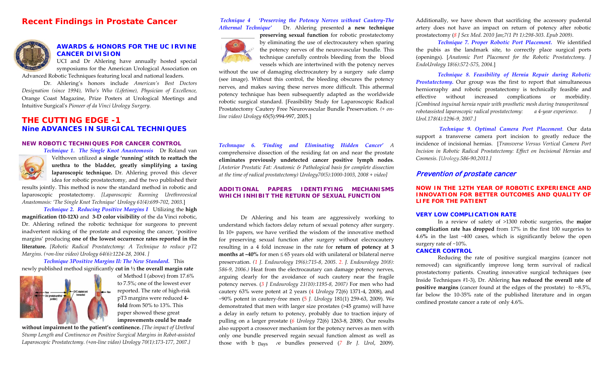# *Recent Findings in Prostate Cancer*



## **AWARDS & HONORS FOR THE UC IRVINE CANCER DIVISION**

UCI and Dr Ahlering have annually hosted special symposiums for the American Urological Association on [Advanced Robotic Techniques](http://www.ucihs.uci.edu/urology/prostate/www.pacrimrobotics.com) featuring local and national leaders.

Dr. Ahlering's honors include *American's Best Doctors Designation (since 1994), Who's Who (Lifetime), Physician of Excellence,*  Orange Coast Magazine, Prize Posters at Urological Meetings and Intuitive Surgical's *Pioneer of da Vinci Urology Surgery*.

## **THE CUTTING EDGE -1** *Nine ADVANCES IN SURGICAL TECHNIQUES*

#### **NEW ROBOTIC TECHNIQUES FOR CANCER CONTROL**



*Technique 1. The Single Knot Anastomosis* Dr Roland van Velthoven utilized **a single 'running' stitch to reattach the urethra to the bladder, greatly simplifying a taxing laparoscopic technique.** Dr. Ahlering proved this clever idea for robotic prostatectomy, and the two published their

results jointly. This method is now the standard method in robotic and laparoscopic prostatectomy. *[Laparoscopic Running Urethrovesical Anastomosis: 'The Single Knot Technique' Urology 61(4):699-702, 2003*.]

*Technique 2. Reducing Positive Margins I* Utilizing the **high magnification (10-12X)** and **3-D color visibility** of the da Vinci robotic, Dr. Ahlering refined the robotic technique for surgeons to prevent inadvertent nicking of the prostate and exposing the cancer, 'positive margins' producing **one of the lowest occurrence rates reported in the literature.** *[Robotic Radical Prostatectomy: A Technique to reduce pT2 Margins. (+on-line video) Urology 64(6):1224-28, 2004. ]*

*Technique 3Positive Margins II: The New Standard.* This newly published method significantly **cut in ½ the overall margin rate**



of Method I (above) from 17.6% to 7.5%; one of the lowest ever reported. The rate of high-risk pT3 margins were reduced **4 fold** from 50% to 13%. This paper showed these great **improvements could be made** 

**without impairment to the patient's continence.** *[The impact of Urethral Stump Length and Continence on Positive Surgical Margins in Robot-assisted Laparoscopic Prostatectomy. (+on-line video) Urology 70(1):173-177, 2007.}*

## *Technique 4 'Preserving the Potency Nerves without Cautery-The*

*Athermal Technique'* Dr. Ahlering presented **a new technique preserving sexual function** for robotic prostatectomy by eliminating the use of electrocautery when sparing the potency nerves of the neurovascular bundle. This technique carefully controls bleeding from the blood

vessels which are intertwined with the potency nerves

without the use of damaging electrocautery by a surgery safe clamp (see image). Without this control, the bleeding obscures the potency nerves, and makes saving these nerves more difficult. This athermal potency technique has been subsequently adapted as the worldwide robotic surgical standard. [Feasibility Study for Laparoscopic Radical Prostatectomy Cautery Free Neurovascular Bundle Preservation. *(+ online video) Urology* 65(5):994-997, 2005.]

*Technuque 6. 'Finding and Eliminating Hidden Cancer' A*  comprehensive dissection of the residing fat on and near the prostate **eliminates previously undetected cancer positive lymph nodes**. *[Anterior Prostatic Fat: Anatomic & Pathological basis for complete dissection at the time of radical prostatectomy) Urology70(5):1000-1003, 2008 + video]*

#### **ADDITIONAL PAPERS IDENTIFYING MECHANISMS WHICH INHIBIT THE RETURN OF SEXUAL FUNCTION**

Dr Ahlering and his team are aggressively working to understand which factors delay return of sexual potency after surgery. In 10+ papers, we have verified the wisdom of the innovative method for preserving sexual function after surgery without elecrocautery resulting in a 4 fold increase in the rate for **return of potency at 3 months at ~40%** for men ≤ 65 years old with unilateral or bilateral nerve preservation. *(1 J. Endourology 19(6):715-8, 2005. 2. J. Endourology 20(8): 586-9, 2006.)* Heat from the electrocautary can damage potency nerves, arguing clearly for the avoidance of such cautery near the fragile potency nerves. (*3 J Endourology 21(10):1195-8, 2007)* For men who had cautery 63% were potent at 2 years (4 *Urology* 72(6) 1371-4, 2008), and ~90% potent in cautery-free men (5 *J. Urology* 181(1) 259-63, 2009). We demonstrated that men with larger size prostates (>45 grams) will have a delay in early return to potency, probably due to traction injury of pulling on a larger prostate (*6 Urology* 72(6) 1263-8, 2008). Our results also support a crossover mechanism for the potency nerves as men with only one bundle preserved regain sexual function almost as well as those with b <sub>Days</sub> ve bundles preserved (7 *Br J. Urol*, 2009).

Additionally, we have shown that sacrificing the accessory pudental artery does not have an impact on return of potency after robotic prostatectomy (*8 J Sex Med. 2010 Jan;7(1 Pt 1):298-303. Epub 2009)*.

*Technique 7. Proper Robotic Port Placement.* We identified the pubis as the landmark site, to correctly place surgical ports (openings). [*Anatomic Port Placement for the Robotic Prostatectomy. J EndoUrology 18(6):572-575, 2004*.]

*Technique 8. Feasibility of Hernia Repair during Robotic Prostatectomy.* Our group was the first to report that simultaneous herniorraphy and robotic prostatectomy is technically feasible and effective without increased complications or morbidity. *[Combined inguinal hernia repair with prosthetic mesh during transperitoneal robotassisted laparoscopic radical prostatectomy: a 4-year experience. Urol.178(4):1296-9, 2007.]*

*Technique 9. Optimal Camera Port Placement*. Our data support a transverse camera port incision to greatly reduce the incidence of incisional hernias. [*Transverse Versus Vertical Camera Port Incision in Robotic Radical Prostatectomy: Effect on Incisional Hernias and Cosmesis. [\[Urology.5](http://www.ncbi.nlm.nih.gov/pubmed/21741689)86-90,2011.]*

## Prevention of prostate cancer

#### **NOW IN THE 12TH YEAR OF ROBOTIC EXPERIENCE AND INNOVATION FOR BETTER OUTCOMES AND QUALITY OF LIFE FOR THE PATIENT**

#### **VERY LOW COMPLICATION RATE**

In a review of safety of >1300 robotic surgeries, the **major complication rate has dropped** from 17% in the first 100 surgeries to 4.6**%** in the last ~400 cases, which is significantly below the open surgery rate of ~10%.

#### **CANCER CONTROL**

Reducing the rate of positive surgical margins (cancer not removed) can significantly improve long term survival of radical prostatectomy patients. Creating innovative surgical techniques (see Inside Techniques #1-3), Dr. Ahlering **has reduced the overall rate of positive margins** (cancer found at the edges of the prostate) to ~8.5%, far below the 10-35% rate of the published literature and in organ confined prostate cancer a rate of only 4.6%.